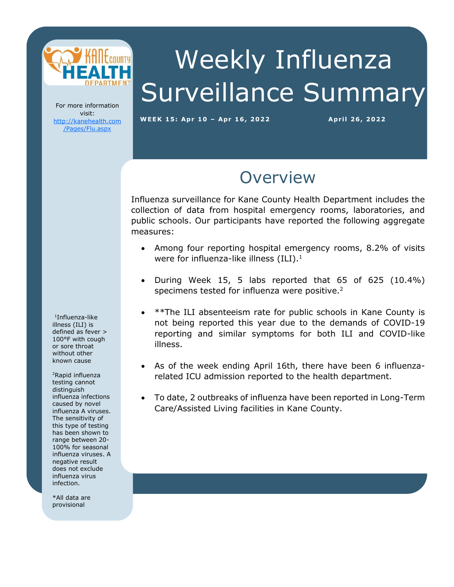

# Weekly Influenza Surveillance Summary

For more information visit: [http://kanehealth.com](http://kanehealth.com/Pages/Flu.aspx) [/Pages/Flu.aspx](http://kanehealth.com/Pages/Flu.aspx)

**WEEK 15: Apr 1 0 – Apr 1 6, 2 0 2 2 Apr i l 2 6, 2 0 22**

data that make this monitoring possible.

### **Overview**

Influenza surveillance for Kane County Health Department includes the collection of data from hospital emergency rooms, laboratories, and public schools. Our participants have reported the following aggregate measures:

- Among four reporting hospital emergency rooms, 8.2% of visits were for influenza-like illness  $(ILI).<sup>1</sup>$
- During Week 15, 5 labs reported that 65 of 625 (10.4%) specimens tested for influenza were positive.<sup>2</sup>
- \*\*The ILI absenteeism rate for public schools in Kane County is not being reported this year due to the demands of COVID-19 reporting and similar symptoms for both ILI and COVID-like illness.
- As of the week ending April 16th, there have been 6 influenzarelated ICU admission reported to the health department.
- To date, 2 outbreaks of influenza have been reported in Long-Term Care/Assisted Living facilities in Kane County.

1 Influenza-like illness (ILI) is defined as fever > 100°F with cough or sore throat without other known cause

<sup>2</sup>Rapid influenza testing cannot distinguish influenza infections caused by novel influenza A viruses. The sensitivity of this type of testing has been shown to range between 20- 100% for seasonal influenza viruses. A negative result does not exclude influenza virus infection.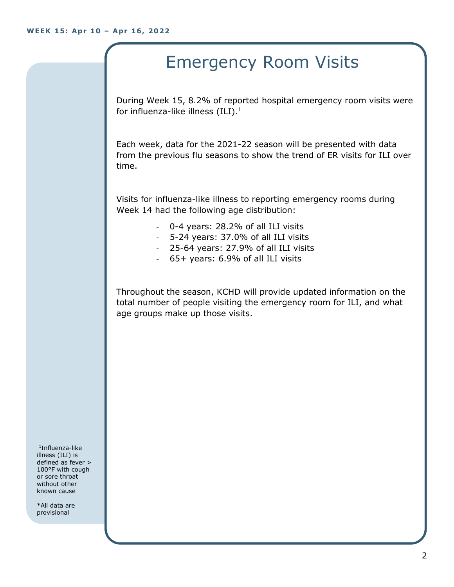# Emergency Room Visits

During Week 15, 8.2% of reported hospital emergency room visits were for influenza-like illness  $(III).<sup>1</sup>$ 

Each week, data for the 2021-22 season will be presented with data from the previous flu seasons to show the trend of ER visits for ILI over time.

Visits for influenza-like illness to reporting emergency rooms during Week 14 had the following age distribution:

- 0-4 years: 28.2% of all ILI visits
- 5-24 years: 37.0% of all ILI visits
- 25-64 years: 27.9% of all ILI visits
- 65+ years: 6.9% of all ILI visits

Throughout the season, KCHD will provide updated information on the total number of people visiting the emergency room for ILI, and what age groups make up those visits.

1 Influenza-like illness (ILI) is defined as fever > 100°F with cough or sore throat without other known cause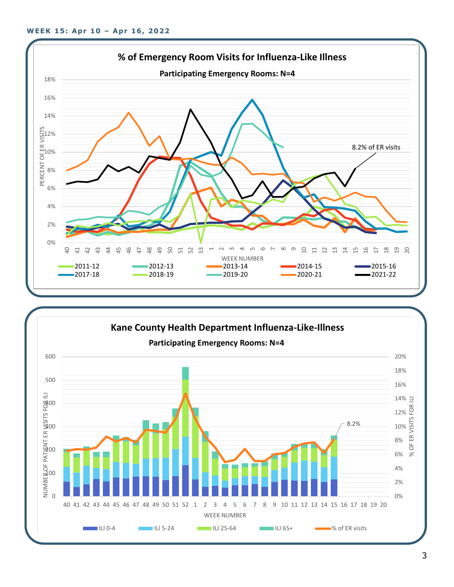

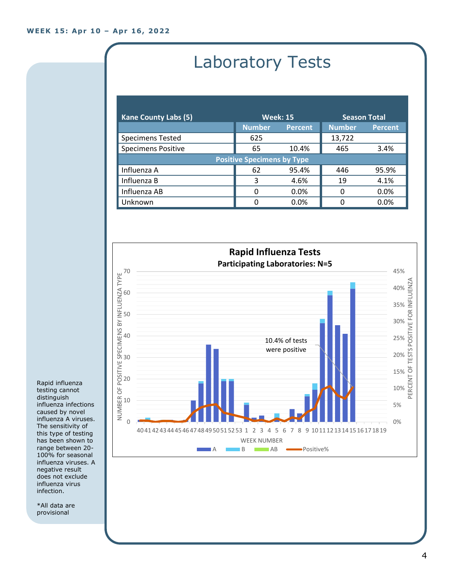# Laboratory Tests

| <b>Kane County Labs (5)</b>       | <b>Week: 15</b> |                | <b>Season Total</b> |                |  |
|-----------------------------------|-----------------|----------------|---------------------|----------------|--|
|                                   | <b>Number</b>   | <b>Percent</b> | <b>Number</b>       | <b>Percent</b> |  |
| <b>Specimens Tested</b>           | 625             |                | 13,722              |                |  |
| <b>Specimens Positive</b>         | 65              | 10.4%          | 465                 | 3.4%           |  |
| <b>Positive Specimens by Type</b> |                 |                |                     |                |  |
| Influenza A                       | 62              | 95.4%          | 446                 | 95.9%          |  |
| Influenza B                       | 3               | 4.6%           | 19                  | 4.1%           |  |
| Influenza AB                      | 0               | 0.0%           | 0                   | 0.0%           |  |
| Unknown                           | O               | 0.0%           | n                   | 0.0%           |  |



Rapid influenza testing cannot distinguish influenza infections caused by novel influenza A viruses. The sensitivity of this type of testing has been shown to range between 20- 100% for seasonal influenza viruses. A negative result does not exclude influenza virus infection.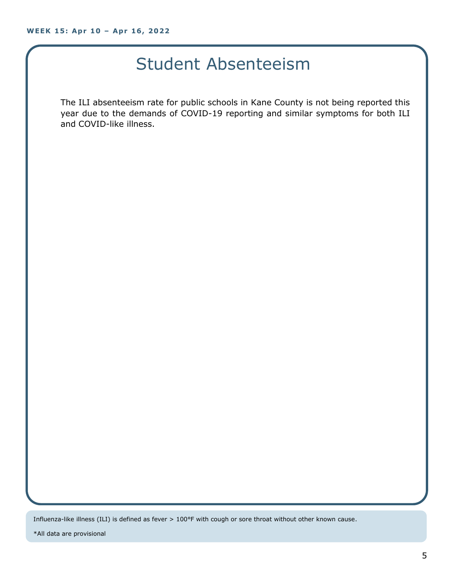### Student Absenteeism

The ILI absenteeism rate for public schools in Kane County is not being reported this year due to the demands of COVID-19 reporting and similar symptoms for both ILI and COVID-like illness.

Influenza-like illness (ILI) is defined as fever > 100°F with cough or sore throat without other known cause.